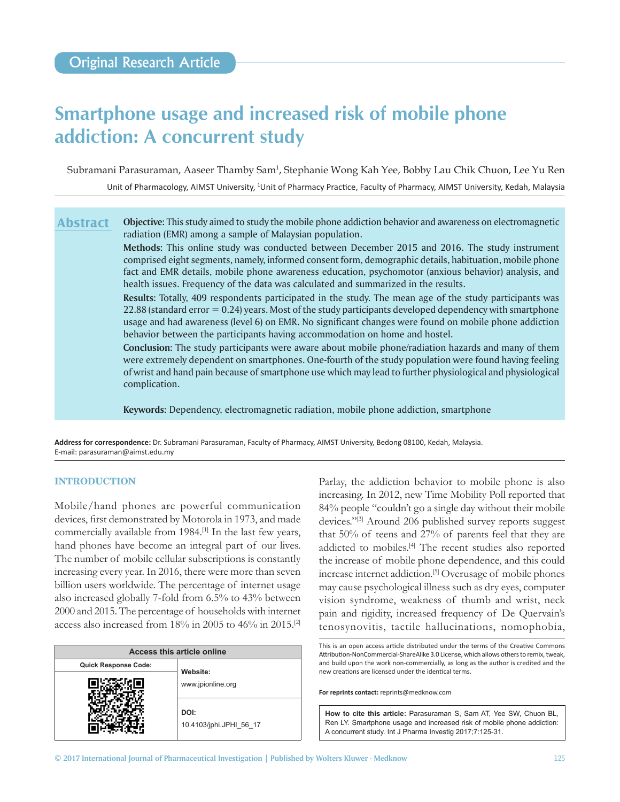# **Smartphone usage and increased risk of mobile phone addiction: A concurrent study**

Subramani Parasuraman, Aaseer Thamby Sam½, Stephanie Wong Kah Yee, Bobby Lau Chik Chuon, Lee Yu Ren Unit of Pharmacology, AIMST University, <sup>1</sup>Unit of Pharmacy Practice, Faculty of Pharmacy, AIMST University, Kedah, Malaysia

**Objective:** This study aimed to study the mobile phone addiction behavior and awareness on electromagnetic radiation (EMR) among a sample of Malaysian population. **Abstract**

> **Methods:** This online study was conducted between December 2015 and 2016. The study instrument comprised eight segments, namely, informed consent form, demographic details, habituation, mobile phone fact and EMR details, mobile phone awareness education, psychomotor (anxious behavior) analysis, and health issues. Frequency of the data was calculated and summarized in the results.

> **Results:** Totally, 409 respondents participated in the study. The mean age of the study participants was 22.88 (standard error  $= 0.24$ ) years. Most of the study participants developed dependency with smartphone usage and had awareness (level 6) on EMR. No significant changes were found on mobile phone addiction behavior between the participants having accommodation on home and hostel.

> **Conclusion:** The study participants were aware about mobile phone/radiation hazards and many of them were extremely dependent on smartphones. One-fourth of the study population were found having feeling of wrist and hand pain because of smartphone use which may lead to further physiological and physiological complication.

**Keywords:** Dependency, electromagnetic radiation, mobile phone addiction, smartphone

**Address for correspondence:** Dr. Subramani Parasuraman, Faculty of Pharmacy, AIMST University, Bedong 08100, Kedah, Malaysia. E-mail: parasuraman@aimst.edu.my

## **INTRODUCTION**

Mobile/hand phones are powerful communication devices, first demonstrated by Motorola in 1973, and made commercially available from 1984.[1] In the last few years, hand phones have become an integral part of our lives. The number of mobile cellular subscriptions is constantly increasing every year. In 2016, there were more than seven billion users worldwide. The percentage of internet usage also increased globally 7-fold from 6.5% to 43% between 2000 and 2015. The percentage of households with internet access also increased from 18% in 2005 to 46% in 2015.[2]

| Access this article online  |                                 |  |  |
|-----------------------------|---------------------------------|--|--|
| <b>Quick Response Code:</b> | Website:                        |  |  |
|                             | www.jpionline.org               |  |  |
|                             | DOI:<br>10.4103/jphi.JPHI 56 17 |  |  |

Parlay, the addiction behavior to mobile phone is also increasing. In 2012, new Time Mobility Poll reported that 84% people "couldn't go a single day without their mobile devices."<sup>[3]</sup> Around 206 published survey reports suggest that 50% of teens and 27% of parents feel that they are addicted to mobiles.<sup>[4]</sup> The recent studies also reported the increase of mobile phone dependence, and this could increase internet addiction.[5] Overusage of mobile phones may cause psychological illness such as dry eyes, computer vision syndrome, weakness of thumb and wrist, neck pain and rigidity, increased frequency of De Quervain's tenosynovitis, tactile hallucinations, nomophobia,

**For reprints contact:** reprints@medknow.com

This is an open access article distributed under the terms of the Creative Commons Attribution-NonCommercial-ShareAlike 3.0 License, which allows others to remix, tweak, and build upon the work non‑commercially, as long as the author is credited and the new creations are licensed under the identical terms.

**How to cite this article:** Parasuraman S, Sam AT, Yee SW, Chuon BL, Ren LY. Smartphone usage and increased risk of mobile phone addiction: A concurrent study. Int J Pharma Investig 2017;7:125-31.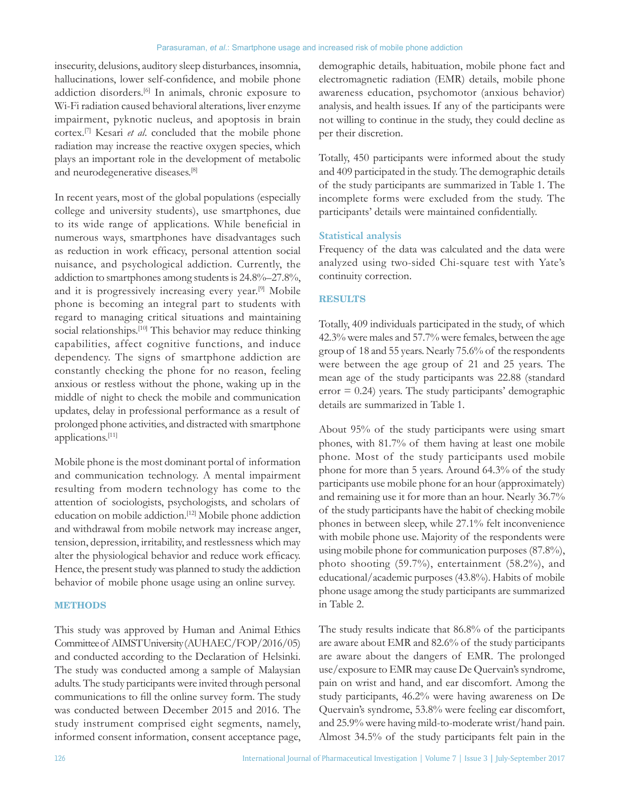insecurity, delusions, auditory sleep disturbances, insomnia, hallucinations, lower self-confidence, and mobile phone addiction disorders.[6] In animals, chronic exposure to Wi-Fi radiation caused behavioral alterations, liver enzyme impairment, pyknotic nucleus, and apoptosis in brain cortex.[7] Kesari *et al*. concluded that the mobile phone radiation may increase the reactive oxygen species, which plays an important role in the development of metabolic and neurodegenerative diseases.[8]

In recent years, most of the global populations (especially college and university students), use smartphones, due to its wide range of applications. While beneficial in numerous ways, smartphones have disadvantages such as reduction in work efficacy, personal attention social nuisance, and psychological addiction. Currently, the addiction to smartphones among students is 24.8%–27.8%, and it is progressively increasing every year.[9] Mobile phone is becoming an integral part to students with regard to managing critical situations and maintaining social relationships.<sup>[10]</sup> This behavior may reduce thinking capabilities, affect cognitive functions, and induce dependency. The signs of smartphone addiction are constantly checking the phone for no reason, feeling anxious or restless without the phone, waking up in the middle of night to check the mobile and communication updates, delay in professional performance as a result of prolonged phone activities, and distracted with smartphone applications.[11]

Mobile phone is the most dominant portal of information and communication technology. A mental impairment resulting from modern technology has come to the attention of sociologists, psychologists, and scholars of education on mobile addiction.<sup>[12]</sup> Mobile phone addiction and withdrawal from mobile network may increase anger, tension, depression, irritability, and restlessness which may alter the physiological behavior and reduce work efficacy. Hence, the present study was planned to study the addiction behavior of mobile phone usage using an online survey.

### **METHODS**

This study was approved by Human and Animal Ethics Committee of AIMST University (AUHAEC/FOP/2016/05) and conducted according to the Declaration of Helsinki. The study was conducted among a sample of Malaysian adults. The study participants were invited through personal communications to fill the online survey form. The study was conducted between December 2015 and 2016. The study instrument comprised eight segments, namely, informed consent information, consent acceptance page,

demographic details, habituation, mobile phone fact and electromagnetic radiation (EMR) details, mobile phone awareness education, psychomotor (anxious behavior) analysis, and health issues. If any of the participants were not willing to continue in the study, they could decline as per their discretion.

Totally, 450 participants were informed about the study and 409 participated in the study. The demographic details of the study participants are summarized in Table 1. The incomplete forms were excluded from the study. The participants' details were maintained confidentially.

## **Statistical analysis**

Frequency of the data was calculated and the data were analyzed using two-sided Chi-square test with Yate's continuity correction.

#### **RESULTS**

Totally, 409 individuals participated in the study, of which 42.3% were males and 57.7% were females, between the age group of 18 and 55 years. Nearly 75.6% of the respondents were between the age group of 21 and 25 years. The mean age of the study participants was 22.88 (standard  $error = 0.24$ ) years. The study participants' demographic details are summarized in Table 1.

About 95% of the study participants were using smart phones, with 81.7% of them having at least one mobile phone. Most of the study participants used mobile phone for more than 5 years. Around 64.3% of the study participants use mobile phone for an hour (approximately) and remaining use it for more than an hour. Nearly 36.7% of the study participants have the habit of checking mobile phones in between sleep, while 27.1% felt inconvenience with mobile phone use. Majority of the respondents were using mobile phone for communication purposes (87.8%), photo shooting (59.7%), entertainment (58.2%), and educational/academic purposes (43.8%). Habits of mobile phone usage among the study participants are summarized in Table 2.

The study results indicate that 86.8% of the participants are aware about EMR and 82.6% of the study participants are aware about the dangers of EMR. The prolonged use/exposure to EMR may cause De Quervain's syndrome, pain on wrist and hand, and ear discomfort. Among the study participants, 46.2% were having awareness on De Quervain's syndrome, 53.8% were feeling ear discomfort, and 25.9% were having mild-to-moderate wrist/hand pain. Almost 34.5% of the study participants felt pain in the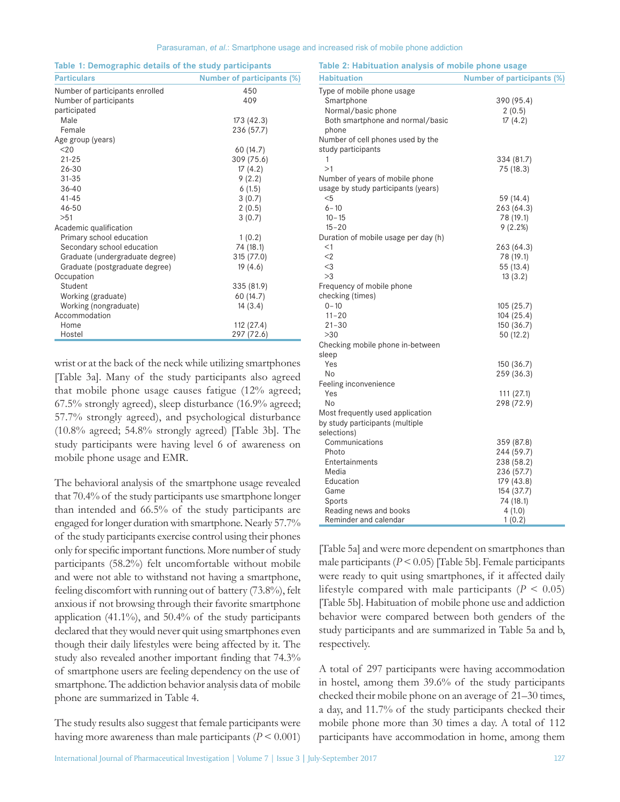| Parasuraman, et al.: Smartphone usage and increased risk of mobile phone addiction |  |  |  |  |  |
|------------------------------------------------------------------------------------|--|--|--|--|--|
|------------------------------------------------------------------------------------|--|--|--|--|--|

| Table 1: Demographic details of the study participants |                                   |
|--------------------------------------------------------|-----------------------------------|
| <b>Particulars</b>                                     | <b>Number of participants (%)</b> |
| Number of participants enrolled                        | 450                               |
| Number of participants                                 | 409                               |
| participated                                           |                                   |
| Male                                                   | 173 (42.3)                        |
| Female                                                 | 236 (57.7)                        |
| Age group (years)                                      |                                   |
| 20 <sub>20</sub>                                       | 60 (14.7)                         |
| $21 - 25$                                              | 309 (75.6)                        |
| 26-30                                                  | 17(4.2)                           |
| $31 - 35$                                              | 9(2.2)                            |
| $36 - 40$                                              | 6(1.5)                            |
| $41 - 45$                                              | 3(0.7)                            |
| $46 - 50$                                              | 2(0.5)                            |
| >51                                                    | 3(0.7)                            |
| Academic qualification                                 |                                   |
| Primary school education                               | 1(0.2)                            |
| Secondary school education                             | 74 (18.1)                         |
| Graduate (undergraduate degree)                        | 315 (77.0)                        |
| Graduate (postgraduate degree)                         | 19(4.6)                           |
| Occupation                                             |                                   |
| Student                                                | 335 (81.9)                        |
| Working (graduate)                                     | 60 (14.7)                         |
| Working (nongraduate)                                  | 14(3.4)                           |
| Accommodation                                          |                                   |
| Home                                                   | 112 (27.4)                        |
| Hostel                                                 | 297 (72.6)                        |
|                                                        |                                   |

wrist or at the back of the neck while utilizing smartphones [Table 3a]. Many of the study participants also agreed that mobile phone usage causes fatigue (12% agreed; 67.5% strongly agreed), sleep disturbance (16.9% agreed; 57.7% strongly agreed), and psychological disturbance (10.8% agreed; 54.8% strongly agreed) [Table 3b]. The study participants were having level 6 of awareness on mobile phone usage and EMR.

The behavioral analysis of the smartphone usage revealed that 70.4% of the study participants use smartphone longer than intended and 66.5% of the study participants are engaged for longer duration with smartphone. Nearly 57.7% of the study participants exercise control using their phones only for specific important functions. More number of study participants (58.2%) felt uncomfortable without mobile and were not able to withstand not having a smartphone, feeling discomfort with running out of battery (73.8%), felt anxious if not browsing through their favorite smartphone application (41.1%), and 50.4% of the study participants declared that they would never quit using smartphones even though their daily lifestyles were being affected by it. The study also revealed another important finding that 74.3% of smartphone users are feeling dependency on the use of smartphone. The addiction behavior analysis data of mobile phone are summarized in Table 4.

The study results also suggest that female participants were having more awareness than male participants  $(P < 0.001)$ 

| <b>Habituation</b>                   | <b>Number of participants (%)</b> |
|--------------------------------------|-----------------------------------|
| Type of mobile phone usage           |                                   |
| Smartphone                           | 390 (95.4)                        |
| Normal/basic phone                   | 2(0.5)                            |
| Both smartphone and normal/basic     | 17(4.2)                           |
| phone                                |                                   |
| Number of cell phones used by the    |                                   |
| study participants                   |                                   |
| 1                                    | 334 (81.7)                        |
| >1                                   | 75 (18.3)                         |
| Number of years of mobile phone      |                                   |
| usage by study participants (years)  |                                   |
| $5$                                  | 59 (14.4)                         |
| $6 - 10$                             | 263 (64.3)                        |
| $10 - 15$                            | 78 (19.1)                         |
| $15 - 20$                            | 9(2.2%)                           |
| Duration of mobile usage per day (h) |                                   |
| $<$ 1                                | 263 (64.3)                        |
| $<$ 2                                | 78 (19.1)                         |
| $<$ 3                                | 55 (13.4)                         |
| >3                                   | 13(3.2)                           |
| Frequency of mobile phone            |                                   |
| checking (times)<br>$0 - 10$         |                                   |
| $11 - 20$                            | 105(25.7)<br>104 (25.4)           |
| $21 - 30$                            | 150(36.7)                         |
| >30                                  | 50(12.2)                          |
| Checking mobile phone in-between     |                                   |
| sleep                                |                                   |
| Yes                                  | 150 (36.7)                        |
| No                                   | 259 (36.3)                        |
| Feeling inconvenience                |                                   |
| Yes                                  | 111(27.1)                         |
| No                                   | 298 (72.9)                        |
| Most frequently used application     |                                   |
| by study participants (multiple      |                                   |
| selections)                          |                                   |
| Communications                       | 359 (87.8)                        |
| Photo                                | 244 (59.7)                        |
| Entertainments                       | 238 (58.2)                        |
| Media                                | 236 (57.7)                        |
| Education                            | 179 (43.8)                        |
| Game                                 | 154 (37.7)                        |
| Sports                               | 74 (18.1)                         |
| Reading news and books               | 4(1.0)                            |
| Reminder and calendar                | 1(0.2)                            |

**Table 2: Habituation analysis of mobile phone usage**

[Table 5a] and were more dependent on smartphones than male participants (*P* < 0.05) [Table 5b]. Female participants were ready to quit using smartphones, if it affected daily lifestyle compared with male participants  $(P < 0.05)$ [Table 5b]. Habituation of mobile phone use and addiction behavior were compared between both genders of the study participants and are summarized in Table 5a and b, respectively.

A total of 297 participants were having accommodation in hostel, among them 39.6% of the study participants checked their mobile phone on an average of 21–30 times, a day, and 11.7% of the study participants checked their mobile phone more than 30 times a day. A total of 112 participants have accommodation in home, among them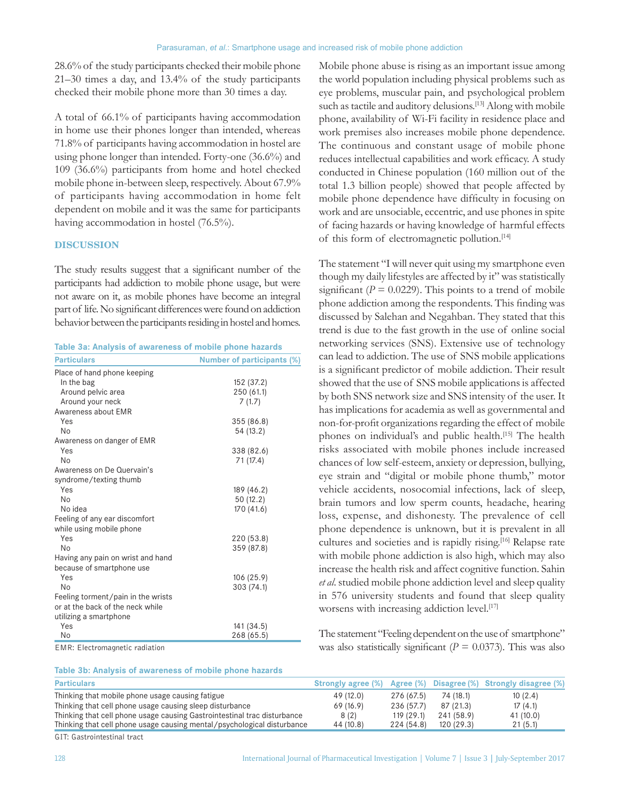28.6% of the study participants checked their mobile phone 21–30 times a day, and 13.4% of the study participants checked their mobile phone more than 30 times a day.

A total of 66.1% of participants having accommodation in home use their phones longer than intended, whereas 71.8% of participants having accommodation in hostel are using phone longer than intended. Forty-one (36.6%) and 109 (36.6%) participants from home and hotel checked mobile phone in-between sleep, respectively. About 67.9% of participants having accommodation in home felt dependent on mobile and it was the same for participants having accommodation in hostel (76.5%).

### **DISCUSSION**

The study results suggest that a significant number of the participants had addiction to mobile phone usage, but were not aware on it, as mobile phones have become an integral part of life. No significant differences were found on addiction behavior between the participants residing in hostel and homes.

| Table 3a: Analysis of awareness of mobile phone hazards |                                   |
|---------------------------------------------------------|-----------------------------------|
| <b>Particulars</b>                                      | <b>Number of participants (9)</b> |

| <b>Particulars</b>                 | <b>Number of participants (%)</b> |
|------------------------------------|-----------------------------------|
| Place of hand phone keeping        |                                   |
| In the bag                         | 152 (37.2)                        |
| Around pelvic area                 | 250 (61.1)                        |
| Around your neck                   | 7(1.7)                            |
| Awareness about EMR                |                                   |
| Yes                                | 355 (86.8)                        |
| N <sub>0</sub>                     | 54 (13.2)                         |
| Awareness on danger of EMR         |                                   |
| Yes                                | 338 (82.6)                        |
| <b>No</b>                          | 71 (17.4)                         |
| Awareness on De Quervain's         |                                   |
| syndrome/texting thumb             |                                   |
| Yes                                | 189 (46.2)                        |
| N <sub>0</sub>                     | 50 (12.2)                         |
| No idea                            | 170 (41.6)                        |
| Feeling of any ear discomfort      |                                   |
| while using mobile phone           |                                   |
| Yes                                | 220 (53.8)                        |
| No                                 | 359 (87.8)                        |
| Having any pain on wrist and hand  |                                   |
| because of smartphone use          |                                   |
| Yes                                | 106 (25.9)                        |
| No                                 | 303 (74.1)                        |
| Feeling torment/pain in the wrists |                                   |
| or at the back of the neck while   |                                   |
| utilizing a smartphone             |                                   |
| Yes                                | 141 (34.5)                        |
| No                                 | 268 (65.5)                        |

**Table 3b: Analysis of awareness of mobile phone hazards**

EMR: Electromagnetic radiation

Mobile phone abuse is rising as an important issue among the world population including physical problems such as eye problems, muscular pain, and psychological problem such as tactile and auditory delusions.<sup>[13]</sup> Along with mobile phone, availability of Wi-Fi facility in residence place and work premises also increases mobile phone dependence. The continuous and constant usage of mobile phone reduces intellectual capabilities and work efficacy. A study conducted in Chinese population (160 million out of the total 1.3 billion people) showed that people affected by mobile phone dependence have difficulty in focusing on work and are unsociable, eccentric, and use phones in spite of facing hazards or having knowledge of harmful effects of this form of electromagnetic pollution.[14]

The statement "I will never quit using my smartphone even though my daily lifestyles are affected by it" was statistically significant ( $P = 0.0229$ ). This points to a trend of mobile phone addiction among the respondents. This finding was discussed by Salehan and Negahban. They stated that this trend is due to the fast growth in the use of online social networking services (SNS). Extensive use of technology can lead to addiction. The use of SNS mobile applications is a significant predictor of mobile addiction. Their result showed that the use of SNS mobile applications is affected by both SNS network size and SNS intensity of the user. It has implications for academia as well as governmental and non-for-profit organizations regarding the effect of mobile phones on individual's and public health.<sup>[15]</sup> The health risks associated with mobile phones include increased chances of low self-esteem, anxiety or depression, bullying, eye strain and "digital or mobile phone thumb," motor vehicle accidents, nosocomial infections, lack of sleep, brain tumors and low sperm counts, headache, hearing loss, expense, and dishonesty. The prevalence of cell phone dependence is unknown, but it is prevalent in all cultures and societies and is rapidly rising.<sup>[16]</sup> Relapse rate with mobile phone addiction is also high, which may also increase the health risk and affect cognitive function. Sahin *et al*. studied mobile phone addiction level and sleep quality in 576 university students and found that sleep quality worsens with increasing addiction level.<sup>[17]</sup>

The statement "Feeling dependent on the use of smartphone" was also statistically significant ( $P = 0.0373$ ). This was also

| <b>Particulars</b>                                                       |           |            |            | Strongly agree (%) Agree (%) Disagree (%) Strongly disagree (%) |
|--------------------------------------------------------------------------|-----------|------------|------------|-----------------------------------------------------------------|
| Thinking that mobile phone usage causing fatigue                         | 49 (12.0) | 276 (67.5) | 74 (18.1)  | 10(2.4)                                                         |
| Thinking that cell phone usage causing sleep disturbance                 | 69 (16.9) | 236 (57.7) | 87 (21.3)  | 17(4.1)                                                         |
| Thinking that cell phone usage causing Gastrointestinal trac disturbance | 8 (2)     | 119(29.1)  | 241 (58.9) | 41 (10.0)                                                       |
| Thinking that cell phone usage causing mental/psychological disturbance  | 44 (10.8) | 224 (54.8) | 120 (29.3) | 21(5.1)                                                         |
|                                                                          |           |            |            |                                                                 |

GIT: Gastrointestinal tract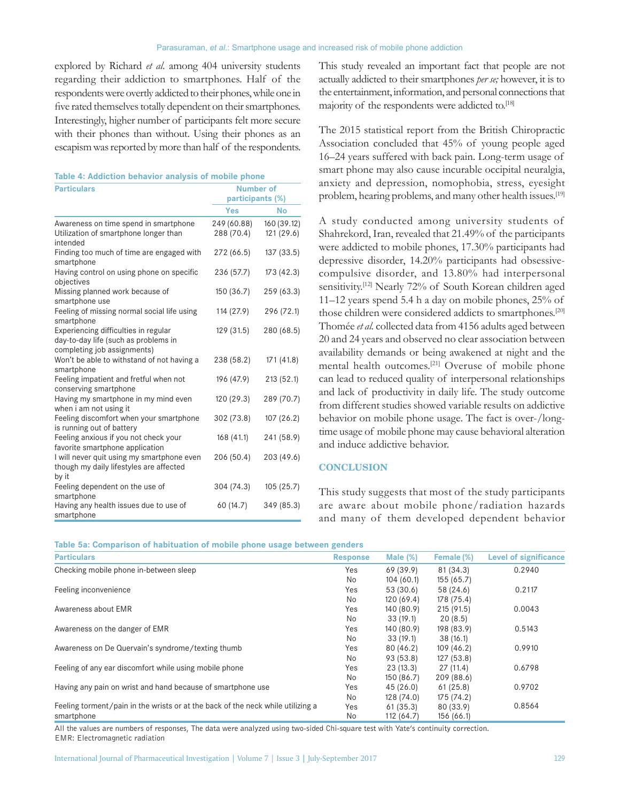explored by Richard *et al*. among 404 university students regarding their addiction to smartphones. Half of the respondents were overtly addicted to their phones, while one in five rated themselves totally dependent on their smartphones. Interestingly, higher number of participants felt more secure with their phones than without. Using their phones as an escapism was reported by more than half of the respondents.

| Table 4: Addiction behavior analysis of mobile phone |  |  |  |
|------------------------------------------------------|--|--|--|
|------------------------------------------------------|--|--|--|

| <b>Particulars</b>                                                                                          | <b>Number of</b><br>participants (%) |                           |  |
|-------------------------------------------------------------------------------------------------------------|--------------------------------------|---------------------------|--|
|                                                                                                             | Yes                                  | No                        |  |
| Awareness on time spend in smartphone<br>Utilization of smartphone longer than<br>intended                  | 249 (60.88)<br>288 (70.4)            | 160 (39.12)<br>121 (29.6) |  |
| Finding too much of time are engaged with<br>smartphone                                                     | 272 (66.5)                           | 137(33.5)                 |  |
| Having control on using phone on specific<br>objectives                                                     | 236 (57.7)                           | 173(42.3)                 |  |
| Missing planned work because of<br>smartphone use                                                           | 150 (36.7)                           | 259 (63.3)                |  |
| Feeling of missing normal social life using<br>smartphone                                                   | 114 (27.9)                           | 296 (72.1)                |  |
| Experiencing difficulties in regular<br>day-to-day life (such as problems in<br>completing job assignments) | 129 (31.5)                           | 280 (68.5)                |  |
| Won't be able to withstand of not having a<br>smartphone                                                    | 238 (58.2)                           | 171(41.8)                 |  |
| Feeling impatient and fretful when not<br>conserving smartphone                                             | 196 (47.9)                           | 213 (52.1)                |  |
| Having my smartphone in my mind even<br>when i am not using it                                              | 120 (29.3)                           | 289 (70.7)                |  |
| Feeling discomfort when your smartphone<br>is running out of battery                                        | 302 (73.8)                           | 107(26.2)                 |  |
| Feeling anxious if you not check your<br>favorite smartphone application                                    | 168(41.1)                            | 241 (58.9)                |  |
| I will never quit using my smartphone even<br>though my daily lifestyles are affected<br>by it              | 206 (50.4)                           | 203 (49.6)                |  |
| Feeling dependent on the use of<br>smartphone                                                               | 304 (74.3)                           | 105(25.7)                 |  |
| Having any health issues due to use of<br>smartphone                                                        | 60 (14.7)                            | 349 (85.3)                |  |

This study revealed an important fact that people are not actually addicted to their smartphones *per se;* however, it is to the entertainment, information, and personal connections that majority of the respondents were addicted to.<sup>[18]</sup>

The 2015 statistical report from the British Chiropractic Association concluded that 45% of young people aged 16–24 years suffered with back pain. Long-term usage of smart phone may also cause incurable occipital neuralgia, anxiety and depression, nomophobia, stress, eyesight problem, hearing problems, and many other health issues.<sup>[19]</sup>

A study conducted among university students of Shahrekord, Iran, revealed that 21.49% of the participants were addicted to mobile phones, 17.30% participants had depressive disorder, 14.20% participants had obsessivecompulsive disorder, and 13.80% had interpersonal sensitivity.<sup>[12]</sup> Nearly 72% of South Korean children aged 11–12 years spend 5.4 h a day on mobile phones, 25% of those children were considered addicts to smartphones.<sup>[20]</sup> Thomée *et al.* collected data from 4156 adults aged between 20 and 24 years and observed no clear association between availability demands or being awakened at night and the mental health outcomes.[21] Overuse of mobile phone can lead to reduced quality of interpersonal relationships and lack of productivity in daily life. The study outcome from different studies showed variable results on addictive behavior on mobile phone usage. The fact is over-/longtime usage of mobile phone may cause behavioral alteration and induce addictive behavior.

### **CONCLUSION**

This study suggests that most of the study participants are aware about mobile phone/radiation hazards and many of them developed dependent behavior

**Table 5a: Comparison of habituation of mobile phone usage between genders**

| <b>Particulars</b>                                                              | <b>Response</b> | Male $(\%)$ | Female (%) | <b>Level of significance</b> |
|---------------------------------------------------------------------------------|-----------------|-------------|------------|------------------------------|
| Checking mobile phone in-between sleep                                          | Yes             | 69 (39.9)   | 81 (34.3)  | 0.2940                       |
|                                                                                 | <b>No</b>       | 104(60.1)   | 155(65.7)  |                              |
| Feeling inconvenience                                                           | Yes             | 53 (30.6)   | 58 (24.6)  | 0.2117                       |
|                                                                                 | No              | 120(69.4)   | 178 (75.4) |                              |
| Awareness about EMR                                                             | Yes             | 140 (80.9)  | 215(91.5)  | 0.0043                       |
|                                                                                 | No.             | 33(19.1)    | 20(8.5)    |                              |
| Awareness on the danger of EMR                                                  | Yes             | 140 (80.9)  | 198 (83.9) | 0.5143                       |
|                                                                                 | No              | 33(19.1)    | 38(16.1)   |                              |
| Awareness on De Quervain's syndrome/texting thumb                               | Yes             | 80 (46.2)   | 109(46.2)  | 0.9910                       |
|                                                                                 | No.             | 93 (53.8)   | 127(53.8)  |                              |
| Feeling of any ear discomfort while using mobile phone                          | Yes             | 23(13.3)    | 27(11.4)   | 0.6798                       |
|                                                                                 | No.             | 150 (86.7)  | 209 (88.6) |                              |
| Having any pain on wrist and hand because of smartphone use                     | Yes             | 45(26.0)    | 61(25.8)   | 0.9702                       |
|                                                                                 | No.             | 128 (74.0)  | 175 (74.2) |                              |
| Feeling torment/pain in the wrists or at the back of the neck while utilizing a | Yes             | 61(35.3)    | 80 (33.9)  | 0.8564                       |
| smartphone                                                                      | No.             | 112 (64.7)  | 156(66.1)  |                              |

All the values are numbers of responses, The data were analyzed using two-sided Chi-square test with Yate's continuity correction. EMR: Electromagnetic radiation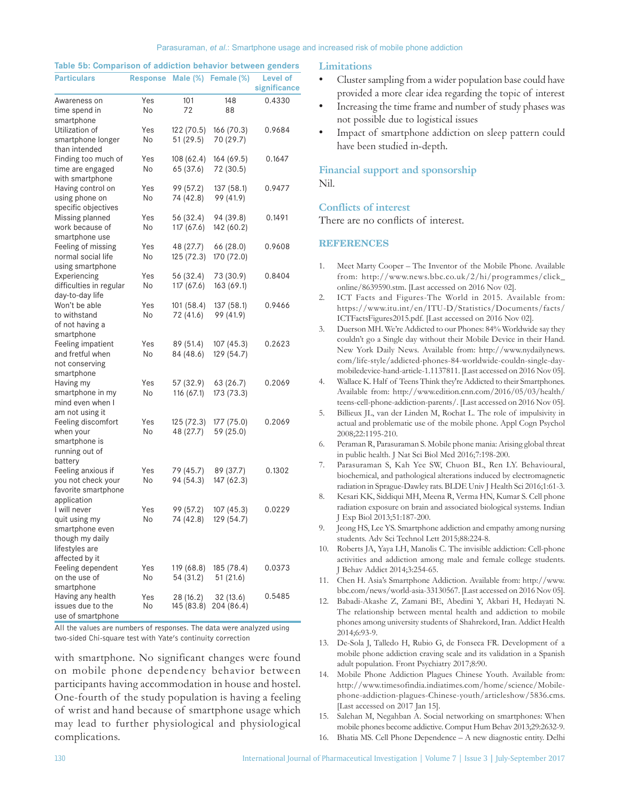| <b>Particulars</b>                                                                    |            |                         | Response Male (%) Female (%) | <b>Level of</b><br>significance |
|---------------------------------------------------------------------------------------|------------|-------------------------|------------------------------|---------------------------------|
| Awareness on<br>time spend in                                                         | Yes<br>No. | 101<br>72               | 148<br>88                    | 0.4330                          |
| smartphone<br>Utilization of<br>smartphone longer                                     | Yes<br>No  | 122 (70.5)<br>51 (29.5) | 166 (70.3)<br>70 (29.7)      | 0.9684                          |
| than intended<br>Finding too much of<br>time are engaged                              | Yes<br>No  | 108 (62.4)<br>65 (37.6) | 164 (69.5)<br>72 (30.5)      | 0.1647                          |
| with smartphone<br>Having control on<br>using phone on                                | Yes<br>No. | 99 (57.2)<br>74 (42.8)  | 137 (58.1)<br>99 (41.9)      | 0.9477                          |
| specific objectives<br>Missing planned<br>work because of                             | Yes<br>No. | 56 (32.4)<br>117 (67.6) | 94 (39.8)<br>142 (60.2)      | 0.1491                          |
| smartphone use<br>Feeling of missing<br>normal social life                            | Yes<br>No. | 48 (27.7)<br>125 (72.3) | 66 (28.0)<br>170 (72.0)      | 0.9608                          |
| using smartphone<br>Experiencing<br>difficulties in regular                           | Yes<br>No  | 56 (32.4)<br>117 (67.6) | 73 (30.9)<br>163 (69.1)      | 0.8404                          |
| day-to-day life<br>Won't be able<br>to withstand<br>of not having a                   | Yes<br>No  | 101 (58.4)<br>72 (41.6) | 137 (58.1)<br>99 (41.9)      | 0.9466                          |
| smartphone<br>Feeling impatient<br>and fretful when<br>not conserving                 | Yes<br>No. | 89 (51.4)<br>84 (48.6)  | 107(45.3)<br>129 (54.7)      | 0.2623                          |
| smartphone<br>Having my<br>smartphone in my<br>mind even when I                       | Yes<br>No  | 57 (32.9)<br>116 (67.1) | 63 (26.7)<br>173 (73.3)      | 0.2069                          |
| am not using it<br>Feeling discomfort<br>when your<br>smartphone is<br>running out of | Yes<br>No  | 125 (72.3)<br>48 (27.7) | 177 (75.0)<br>59 (25.0)      | 0.2069                          |
| battery<br>Feeling anxious if<br>you not check your<br>favorite smartphone            | Yes<br>No. | 79 (45.7)<br>94 (54.3)  | 89 (37.7)<br>147 (62.3)      | 0.1302                          |
| application<br>I will never<br>quit using my<br>smartphone even<br>though my daily    | Yes<br>No  | 99 (57.2)<br>74 (42.8)  | 107 (45.3)<br>129 (54.7)     | 0.0229                          |
| lifestyles are<br>affected by it<br>Feeling dependent<br>on the use of                | Yes<br>No. | 119 (68.8)<br>54 (31.2) | 185 (78.4)<br>51 (21.6)      | 0.0373                          |
| smartphone<br>Having any health<br>issues due to the<br>use of smartphone             | Yes<br>No  | 28 (16.2)<br>145 (83.8) | 32 (13.6)<br>204 (86.4)      | 0.5485                          |

**Table 5b: Comparison of addiction behavior between genders**

All the values are numbers of responses. The data were analyzed using two‑sided Chi‑square test with Yate's continuity correction

with smartphone. No significant changes were found on mobile phone dependency behavior between participants having accommodation in house and hostel. One-fourth of the study population is having a feeling of wrist and hand because of smartphone usage which may lead to further physiological and physiological complications.

#### **Limitations**

- Cluster sampling from a wider population base could have provided a more clear idea regarding the topic of interest
- Increasing the time frame and number of study phases was not possible due to logistical issues
- Impact of smartphone addiction on sleep pattern could have been studied in-depth.

# **Financial support and sponsorship** Nil.

## **Conflicts of interest**

There are no conflicts of interest.

#### **REFERENCES**

- 1. Meet Marty Cooper The Inventor of the Mobile Phone. Available from: http://www.news.bbc.co.uk/2/hi/programmes/click\_ online/8639590.stm. [Last accessed on 2016 Nov 02].
- 2. ICT Facts and Figures-The World in 2015. Available from: https://www.itu.int/en/ITU-D/Statistics/Documents/facts/ ICTFactsFigures2015.pdf. [Last accessed on 2016 Nov 02].
- 3. Duerson MH. We're Addicted to our Phones: 84% Worldwide say they couldn't go a Single day without their Mobile Device in their Hand. New York Daily News. Available from: http://www.nydailynews. com/life-style/addicted-phones-84-worldwide-couldn-single-daymobiledevice-hand-article-1.1137811. [Last accessed on 2016 Nov 05].
- 4. Wallace K. Half of Teens Think they're Addicted to their Smartphones. Available from: http://www.edition.cnn.com/2016/05/03/health/ teens-cell-phone-addiction-parents/. [Last accessed on 2016 Nov 05].
- 5. Billieux JL, van der Linden M, Rochat L. The role of impulsivity in actual and problematic use of the mobile phone. Appl Cogn Psychol 2008;22:1195-210.
- 6. Peraman R, Parasuraman S. Mobile phone mania: Arising global threat in public health. J Nat Sci Biol Med 2016;7:198-200.
- 7. Parasuraman S, Kah Yee SW, Chuon BL, Ren LY. Behavioural, biochemical, and pathological alterations induced by electromagnetic radiation in Sprague-Dawley rats. BLDE Univ J Health Sci 2016;1:61-3.
- 8. Kesari KK, Siddiqui MH, Meena R, Verma HN, Kumar S. Cell phone radiation exposure on brain and associated biological systems. Indian J Exp Biol 2013;51:187-200.
- Jeong HS, Lee YS. Smartphone addiction and empathy among nursing students. Adv Sci Technol Lett 2015;88:224-8.
- 10. Roberts JA, Yaya LH, Manolis C. The invisible addiction: Cell-phone activities and addiction among male and female college students. J Behav Addict 2014;3:254-65.
- 11. Chen H. Asia's Smartphone Addiction. Available from: http://www. bbc.com/news/world-asia-33130567. [Last accessed on 2016 Nov 05].
- 12. Babadi-Akashe Z, Zamani BE, Abedini Y, Akbari H, Hedayati N. The relationship between mental health and addiction to mobile phones among university students of Shahrekord, Iran. Addict Health 2014;6:93-9.
- 13. De-Sola J, Talledo H, Rubio G, de Fonseca FR. Development of a mobile phone addiction craving scale and its validation in a Spanish adult population. Front Psychiatry 2017;8:90.
- 14. Mobile Phone Addiction Plagues Chinese Youth. Available from: http://www.timesofindia.indiatimes.com/home/science/Mobilephone-addiction-plagues-Chinese-youth/articleshow/5836.cms. [Last accessed on 2017 Jan 15].
- 15. Salehan M, Negahban A. Social networking on smartphones: When mobile phones become addictive. Comput Hum Behav 2013;29:2632-9.
- 16. Bhatia MS. Cell Phone Dependence A new diagnostic entity. Delhi